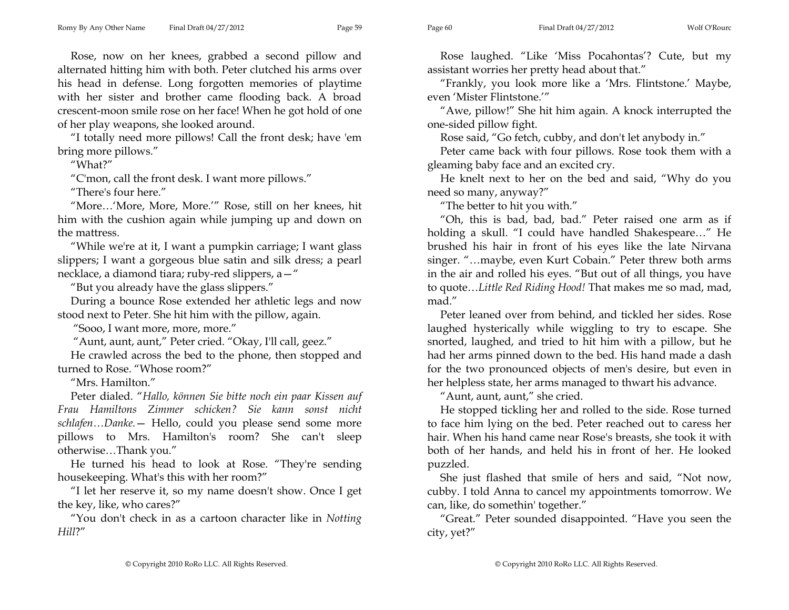Rose, now on her knees, grabbed a second pillow and alternated hitting him with both. Peter clutched his arms over his head in defense. Long forgotten memories of playtime with her sister and brother came flooding back. A broad crescent-moon smile rose on her face! When he got hold of one of her play weapons, she looked around.

"I totally need more pillows! Call the front desk; have 'em bring more pillows."

"What?"

"C'mon, call the front desk. I want more pillows."

"There's four here."

"More…'More, More, More.'" Rose, still on her knees, hit him with the cushion again while jumping up and down on the mattress.

"While we're at it, I want a pumpkin carriage; I want glass slippers; I want a gorgeous blue satin and silk dress; a pearl necklace, a diamond tiara; ruby-red slippers, a—"

"But you already have the glass slippers."

During a bounce Rose extended her athletic legs and now stood next to Peter. She hit him with the pillow, again.

"Sooo, I want more, more, more."

"Aunt, aunt, aunt," Peter cried. "Okay, I'll call, geez."

He crawled across the bed to the phone, then stopped and turned to Rose. "Whose room?"

"Mrs. Hamilton."

Peter dialed. "*Hallo, können Sie bitte noch ein paar Kissen auf Frau Hamiltons Zimmer schicken? Sie kann sonst nicht schlafen…Danke.*— Hello, could you please send some more pillows to Mrs. Hamilton's room? She can't sleep otherwise…Thank you."

He turned his head to look at Rose. "They're sending housekeeping. What's this with her room?"

"I let her reserve it, so my name doesn't show. Once I get the key, like, who cares?"

"You don't check in as a cartoon character like in *Notting Hill*?"

Rose laughed. "Like 'Miss Pocahontas'? Cute, but my assistant worries her pretty head about that."

"Frankly, you look more like a 'Mrs. Flintstone.' Maybe, even 'Mister Flintstone.'"

"Awe, pillow!" She hit him again. A knock interrupted the one-sided pillow fight.

Rose said, "Go fetch, cubby, and don't let anybody in."

Peter came back with four pillows. Rose took them with a gleaming baby face and an excited cry.

He knelt next to her on the bed and said, "Why do you need so many, anyway?"

"The better to hit you with."

"Oh, this is bad, bad, bad." Peter raised one arm as if holding a skull. "I could have handled Shakespeare…" He brushed his hair in front of his eyes like the late Nirvana singer. "…maybe, even Kurt Cobain." Peter threw both arms in the air and rolled his eyes. "But out of all things, you have to quote…*Little Red Riding Hood!* That makes me so mad, mad, mad."

Peter leaned over from behind, and tickled her sides. Rose laughed hysterically while wiggling to try to escape. She snorted, laughed, and tried to hit him with a pillow, but he had her arms pinned down to the bed. His hand made a dash for the two pronounced objects of men's desire, but even in her helpless state, her arms managed to thwart his advance.

"Aunt, aunt, aunt," she cried.

He stopped tickling her and rolled to the side. Rose turned to face him lying on the bed. Peter reached out to caress her hair. When his hand came near Rose's breasts, she took it with both of her hands, and held his in front of her. He looked puzzled.

She just flashed that smile of hers and said, "Not now, cubby. I told Anna to cancel my appointments tomorrow. We can, like, do somethin' together."

"Great." Peter sounded disappointed. "Have you seen the city, yet?"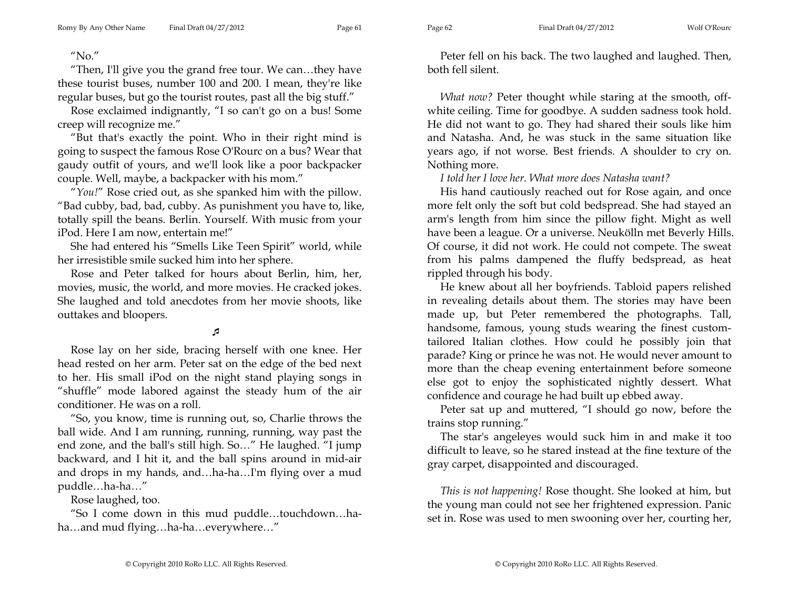"No."

"Then, I'll give you the grand free tour. We can…they have these tourist buses, number 100 and 200. I mean, they're like regular buses, but go the tourist routes, past all the big stuff."

Rose exclaimed indignantly, "I so can't go on a bus! Some creep will recognize me."

"But that's exactly the point. Who in their right mind is going to suspect the famous Rose O'Rourc on a bus? Wear that gaudy outfit of yours, and we'll look like a poor backpacker couple. Well, maybe, a backpacker with his mom."

"*You!*" Rose cried out, as she spanked him with the pillow. "Bad cubby, bad, bad, cubby. As punishment you have to, like, totally spill the beans. Berlin. Yourself. With music from your iPod. Here I am now, entertain me!"

She had entered his "Smells Like Teen Spirit" world, while her irresistible smile sucked him into her sphere.

Rose and Peter talked for hours about Berlin, him, her, movies, music, the world, and more movies. He cracked jokes. She laughed and told anecdotes from her movie shoots, like outtakes and bloopers.

## 1ء

Rose lay on her side, bracing herself with one knee. Her head rested on her arm. Peter sat on the edge of the bed next to her. His small iPod on the night stand playing songs in "shuffle" mode labored against the steady hum of the air conditioner. He was on a roll.

"So, you know, time is running out, so, Charlie throws the ball wide. And I am running, running, running, way past the end zone, and the ball's still high. So…" He laughed. "I jump backward, and I hit it, and the ball spins around in mid-air and drops in my hands, and…ha-ha…I'm flying over a mud puddle…ha-ha…"

Rose laughed, too.

"So I come down in this mud puddle…touchdown…haha…and mud flying…ha-ha…everywhere…"

Peter fell on his back. The two laughed and laughed. Then, both fell silent.

*What now?* Peter thought while staring at the smooth, offwhite ceiling. Time for goodbye. A sudden sadness took hold. He did not want to go. They had shared their souls like him and Natasha. And, he was stuck in the same situation like years ago, if not worse. Best friends. A shoulder to cry on. Nothing more.

*I told her I love her. What more does Natasha want?* 

His hand cautiously reached out for Rose again, and once more felt only the soft but cold bedspread. She had stayed an arm's length from him since the pillow fight. Might as well have been a league. Or a universe. Neukölln met Beverly Hills. Of course, it did not work. He could not compete. The sweat from his palms dampened the fluffy bedspread, as heat rippled through his body.

He knew about all her boyfriends. Tabloid papers relished in revealing details about them. The stories may have been made up, but Peter remembered the photographs. Tall, handsome, famous, young studs wearing the finest customtailored Italian clothes. How could he possibly join that parade? King or prince he was not. He would never amount to more than the cheap evening entertainment before someone else got to enjoy the sophisticated nightly dessert. What confidence and courage he had built up ebbed away.

Peter sat up and muttered, "I should go now, before the trains stop running."

The star's angeleyes would suck him in and make it too difficult to leave, so he stared instead at the fine texture of the gray carpet, disappointed and discouraged.

*This is not happening!* Rose thought. She looked at him, but the young man could not see her frightened expression. Panic set in. Rose was used to men swooning over her, courting her,